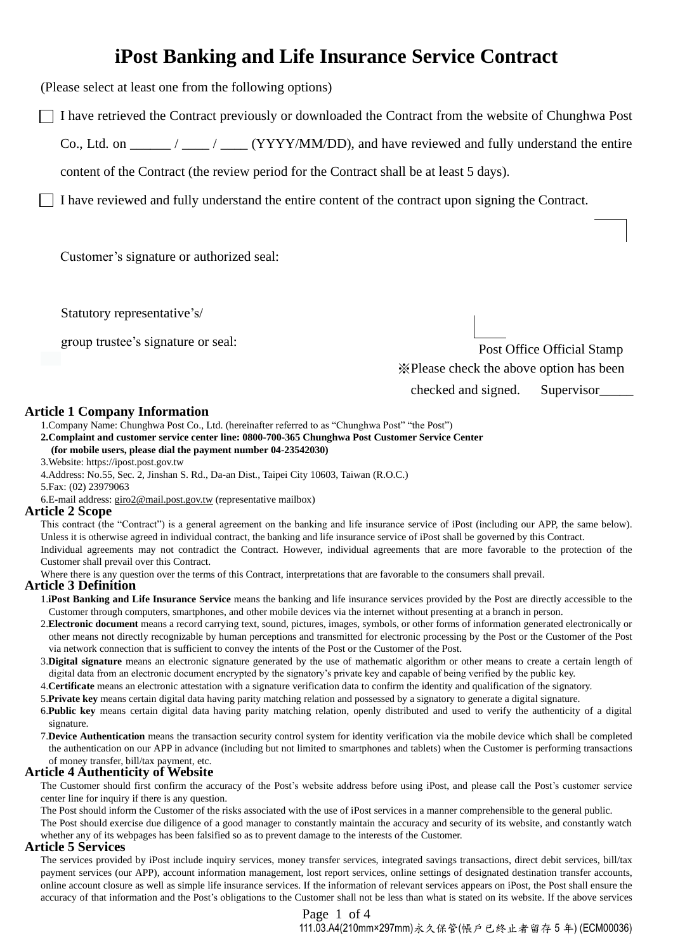# **iPost Banking and Life Insurance Service Contract**

(Please select at least one from the following options)

I have retrieved the Contract previously or downloaded the Contract from the website of Chunghwa Post

Co., Ltd. on  $\frac{1}{\sqrt{2\pi}}$  /  $\frac{1}{\sqrt{2\pi}}$  (YYYY/MM/DD), and have reviewed and fully understand the entire

content of the Contract (the review period for the Contract shall be at least 5 days).

I have reviewed and fully understand the entire content of the contract upon signing the Contract.

Customer's signature or authorized seal:

Statutory representative's/

group trustee's signature or seal:

Post Office Official Stamp ※Please check the above option has been checked and signed. Supervisor\_\_\_\_\_

# **Article 1 Company Information**

1.Company Name: Chunghwa Post Co., Ltd. (hereinafter referred to as "Chunghwa Post" "the Post")

**2.Complaint and customer service center line: 0800-700-365 Chunghwa Post Customer Service Center (for mobile users, please dial the payment number 04-23542030)**

3.Website: https://ipost.post.gov.tw

4.Address: No.55, Sec. 2, Jinshan S. Rd., Da-an Dist., Taipei City 10603, Taiwan (R.O.C.)

5.Fax: (02) 23979063

6.E-mail address: [giro2@mail.post.gov.tw](mailto:giro2@mail.post.gov.tw) (representative mailbox)

# **Article 2 Scope**

This contract (the "Contract") is a general agreement on the banking and life insurance service of iPost (including our APP, the same below). Unless it is otherwise agreed in individual contract, the banking and life insurance service of iPost shall be governed by this Contract. Individual agreements may not contradict the Contract. However, individual agreements that are more favorable to the protection of the Customer shall prevail over this Contract.

Where there is any question over the terms of this Contract, interpretations that are favorable to the consumers shall prevail.

# **Article 3 Definition**

- 1.**iPost Banking and Life Insurance Service** means the banking and life insurance services provided by the Post are directly accessible to the Customer through computers, smartphones, and other mobile devices via the internet without presenting at a branch in person.
- 2.**Electronic document** means a record carrying text, sound, pictures, images, symbols, or other forms of information generated electronically or other means not directly recognizable by human perceptions and transmitted for electronic processing by the Post or the Customer of the Post via network connection that is sufficient to convey the intents of the Post or the Customer of the Post.
- 3.**Digital signature** means an electronic signature generated by the use of mathematic algorithm or other means to create a certain length of digital data from an electronic document encrypted by the signatory's private key and capable of being verified by the public key.
- 4.**Certificate** means an electronic attestation with a signature verification data to confirm the identity and qualification of the signatory.
- 5.**Private key** means certain digital data having parity matching relation and possessed by a signatory to generate a digital signature.
- 6.**Public key** means certain digital data having parity matching relation, openly distributed and used to verify the authenticity of a digital signature.
- 7.**Device Authentication** means the transaction security control system for identity verification via the mobile device which shall be completed the authentication on our APP in advance (including but not limited to smartphones and tablets) when the Customer is performing transactions of money transfer, bill/tax payment, etc.

# **Article 4 Authenticity of Website**

The Customer should first confirm the accuracy of the Post's website address before using iPost, and please call the Post's customer service center line for inquiry if there is any question.

The Post should inform the Customer of the risks associated with the use of iPost services in a manner comprehensible to the general public.

The Post should exercise due diligence of a good manager to constantly maintain the accuracy and security of its website, and constantly watch whether any of its webpages has been falsified so as to prevent damage to the interests of the Customer.

# **Article 5 Services**

The services provided by iPost include inquiry services, money transfer services, integrated savings transactions, direct debit services, bill/tax payment services (our APP), account information management, lost report services, online settings of designated destination transfer accounts, online account closure as well as simple life insurance services. If the information of relevant services appears on iPost, the Post shall ensure the accuracy of that information and the Post's obligations to the Customer shall not be less than what is stated on its website. If the above services

> Page 1 of 4 111.03.A4(210mm×297mm)永久保管(帳戶已終止者留存 5 年) (ECM00036)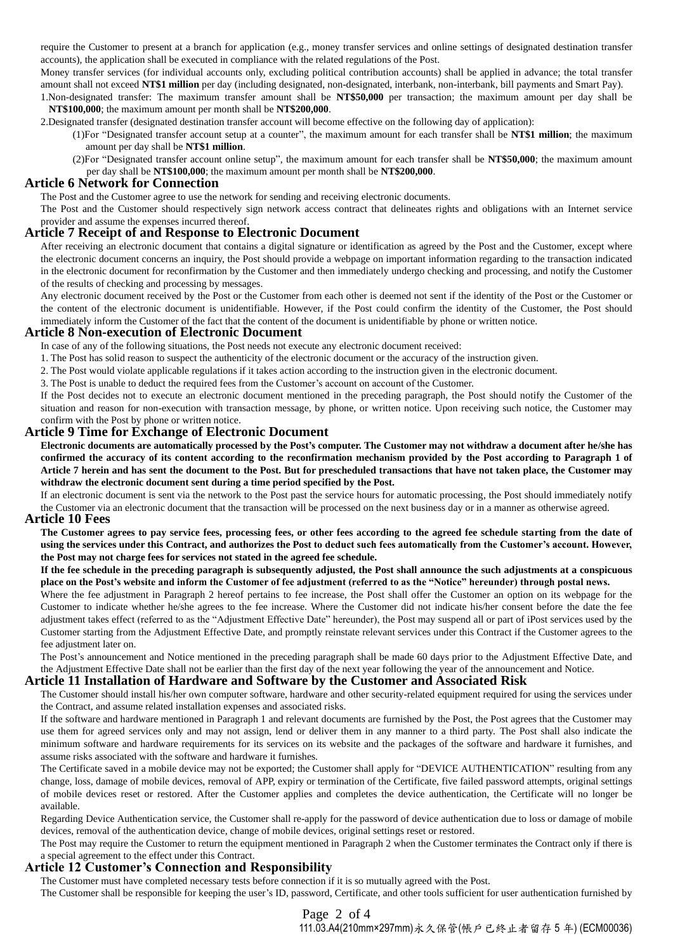require the Customer to present at a branch for application (e.g., money transfer services and online settings of designated destination transfer accounts), the application shall be executed in compliance with the related regulations of the Post.

Money transfer services (for individual accounts only, excluding political contribution accounts) shall be applied in advance; the total transfer amount shall not exceed **NT\$1 million** per day (including designated, non-designated, interbank, non-interbank, bill payments and Smart Pay).

1.Non-designated transfer: The maximum transfer amount shall be **NT\$50,000** per transaction; the maximum amount per day shall be **NT\$100,000**; the maximum amount per month shall be **NT\$200,000**.

2.Designated transfer (designated destination transfer account will become effective on the following day of application):

- (1)For "Designated transfer account setup at a counter", the maximum amount for each transfer shall be **NT\$1 million**; the maximum amount per day shall be **NT\$1 million**.
- (2)For "Designated transfer account online setup", the maximum amount for each transfer shall be **NT\$50,000**; the maximum amount per day shall be **NT\$100,000**; the maximum amount per month shall be **NT\$200,000**.

# **Article 6 Network for Connection**

The Post and the Customer agree to use the network for sending and receiving electronic documents.

The Post and the Customer should respectively sign network access contract that delineates rights and obligations with an Internet service provider and assume the expenses incurred thereof.

#### **Article 7 Receipt of and Response to Electronic Document**

After receiving an electronic document that contains a digital signature or identification as agreed by the Post and the Customer, except where the electronic document concerns an inquiry, the Post should provide a webpage on important information regarding to the transaction indicated in the electronic document for reconfirmation by the Customer and then immediately undergo checking and processing, and notify the Customer of the results of checking and processing by messages.

Any electronic document received by the Post or the Customer from each other is deemed not sent if the identity of the Post or the Customer or the content of the electronic document is unidentifiable. However, if the Post could confirm the identity of the Customer, the Post should immediately inform the Customer of the fact that the content of the document is unidentifiable by phone or written notice.

#### **Article 8 Non-execution of Electronic Document**

In case of any of the following situations, the Post needs not execute any electronic document received:

1. The Post has solid reason to suspect the authenticity of the electronic document or the accuracy of the instruction given.

2. The Post would violate applicable regulations if it takes action according to the instruction given in the electronic document.

3. The Post is unable to deduct the required fees from the Customer's account on account of the Customer.

If the Post decides not to execute an electronic document mentioned in the preceding paragraph, the Post should notify the Customer of the situation and reason for non-execution with transaction message, by phone, or written notice. Upon receiving such notice, the Customer may confirm with the Post by phone or written notice.

# **Article 9 Time for Exchange of Electronic Document**

**Electronic documents are automatically processed by the Post's computer. The Customer may not withdraw a document after he/she has confirmed the accuracy of its content according to the reconfirmation mechanism provided by the Post according to Paragraph 1 of Article 7 herein and has sent the document to the Post. But for prescheduled transactions that have not taken place, the Customer may withdraw the electronic document sent during a time period specified by the Post.**

If an electronic document is sent via the network to the Post past the service hours for automatic processing, the Post should immediately notify the Customer via an electronic document that the transaction will be processed on the next business day or in a manner as otherwise agreed.

#### **Article 10 Fees**

**The Customer agrees to pay service fees, processing fees, or other fees according to the agreed fee schedule starting from the date of using the services under this Contract, and authorizes the Post to deduct such fees automatically from the Customer's account. However, the Post may not charge fees for services not stated in the agreed fee schedule.**

#### **If the fee schedule in the preceding paragraph is subsequently adjusted, the Post shall announce the such adjustments at a conspicuous place on the Post's website and inform the Customer of fee adjustment (referred to as the "Notice" hereunder) through postal news.**

Where the fee adjustment in Paragraph 2 hereof pertains to fee increase, the Post shall offer the Customer an option on its webpage for the Customer to indicate whether he/she agrees to the fee increase. Where the Customer did not indicate his/her consent before the date the fee adjustment takes effect (referred to as the "Adjustment Effective Date" hereunder), the Post may suspend all or part of iPost services used by the Customer starting from the Adjustment Effective Date, and promptly reinstate relevant services under this Contract if the Customer agrees to the fee adjustment later on.

The Post's announcement and Notice mentioned in the preceding paragraph shall be made 60 days prior to the Adjustment Effective Date, and the Adjustment Effective Date shall not be earlier than the first day of the next year following the year of the announcement and Notice.

#### **Article 11 Installation of Hardware and Software by the Customer and Associated Risk**

The Customer should install his/her own computer software, hardware and other security-related equipment required for using the services under the Contract, and assume related installation expenses and associated risks.

If the software and hardware mentioned in Paragraph 1 and relevant documents are furnished by the Post, the Post agrees that the Customer may use them for agreed services only and may not assign, lend or deliver them in any manner to a third party. The Post shall also indicate the minimum software and hardware requirements for its services on its website and the packages of the software and hardware it furnishes, and assume risks associated with the software and hardware it furnishes.

The Certificate saved in a mobile device may not be exported; the Customer shall apply for "DEVICE AUTHENTICATION" resulting from any change, loss, damage of mobile devices, removal of APP, expiry or termination of the Certificate, five failed password attempts, original settings of mobile devices reset or restored. After the Customer applies and completes the device authentication, the Certificate will no longer be available.

Regarding Device Authentication service, the Customer shall re-apply for the password of device authentication due to loss or damage of mobile devices, removal of the authentication device, change of mobile devices, original settings reset or restored.

The Post may require the Customer to return the equipment mentioned in Paragraph 2 when the Customer terminates the Contract only if there is a special agreement to the effect under this Contract.

# **Article 12 Customer's Connection and Responsibility**

The Customer must have completed necessary tests before connection if it is so mutually agreed with the Post. The Customer shall be responsible for keeping the user's ID, password, Certificate, and other tools sufficient for user authentication furnished by

> Page 2 of 4 111.03.A4(210mm×297mm)永久保管(帳戶已終止者留存 5 年) (ECM00036)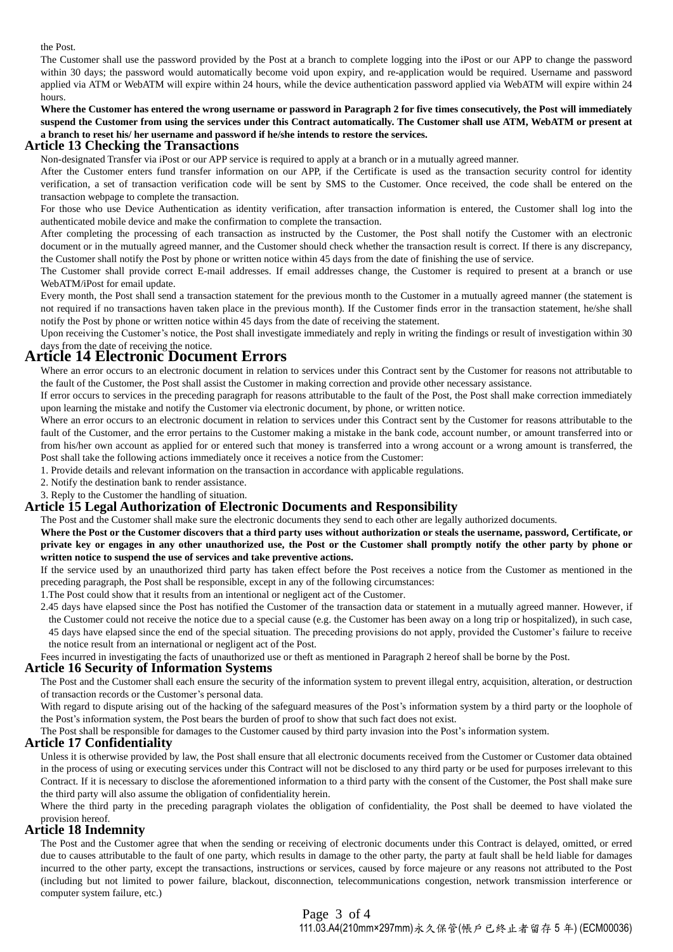the Post.

The Customer shall use the password provided by the Post at a branch to complete logging into the iPost or our APP to change the password within 30 days; the password would automatically become void upon expiry, and re-application would be required. Username and password applied via ATM or WebATM will expire within 24 hours, while the device authentication password applied via WebATM will expire within 24 hours.

**Where the Customer has entered the wrong username or password in Paragraph 2 for five times consecutively, the Post will immediately suspend the Customer from using the services under this Contract automatically. The Customer shall use ATM, WebATM or present at a branch to reset his/ her username and password if he/she intends to restore the services.**

# **Article 13 Checking the Transactions**

Non-designated Transfer via iPost or our APP service is required to apply at a branch or in a mutually agreed manner.

After the Customer enters fund transfer information on our APP, if the Certificate is used as the transaction security control for identity verification, a set of transaction verification code will be sent by SMS to the Customer. Once received, the code shall be entered on the transaction webpage to complete the transaction.

For those who use Device Authentication as identity verification, after transaction information is entered, the Customer shall log into the authenticated mobile device and make the confirmation to complete the transaction.

After completing the processing of each transaction as instructed by the Customer, the Post shall notify the Customer with an electronic document or in the mutually agreed manner, and the Customer should check whether the transaction result is correct. If there is any discrepancy, the Customer shall notify the Post by phone or written notice within 45 days from the date of finishing the use of service.

The Customer shall provide correct E-mail addresses. If email addresses change, the Customer is required to present at a branch or use WebATM/iPost for email update.

Every month, the Post shall send a transaction statement for the previous month to the Customer in a mutually agreed manner (the statement is not required if no transactions haven taken place in the previous month). If the Customer finds error in the transaction statement, he/she shall notify the Post by phone or written notice within 45 days from the date of receiving the statement.

Upon receiving the Customer's notice, the Post shall investigate immediately and reply in writing the findings or result of investigation within 30 days from the date of receiving the notice.

# **Article 14 Electronic Document Errors**

Where an error occurs to an electronic document in relation to services under this Contract sent by the Customer for reasons not attributable to the fault of the Customer, the Post shall assist the Customer in making correction and provide other necessary assistance.

If error occurs to services in the preceding paragraph for reasons attributable to the fault of the Post, the Post shall make correction immediately upon learning the mistake and notify the Customer via electronic document, by phone, or written notice.

Where an error occurs to an electronic document in relation to services under this Contract sent by the Customer for reasons attributable to the fault of the Customer, and the error pertains to the Customer making a mistake in the bank code, account number, or amount transferred into or from his/her own account as applied for or entered such that money is transferred into a wrong account or a wrong amount is transferred, the Post shall take the following actions immediately once it receives a notice from the Customer:

1. Provide details and relevant information on the transaction in accordance with applicable regulations.

2. Notify the destination bank to render assistance.

3. Reply to the Customer the handling of situation.

# **Article 15 Legal Authorization of Electronic Documents and Responsibility**

The Post and the Customer shall make sure the electronic documents they send to each other are legally authorized documents.

**Where the Post or the Customer discovers that a third party uses without authorization or steals the username, password, Certificate, or private key or engages in any other unauthorized use, the Post or the Customer shall promptly notify the other party by phone or written notice to suspend the use of services and take preventive actions.**

If the service used by an unauthorized third party has taken effect before the Post receives a notice from the Customer as mentioned in the preceding paragraph, the Post shall be responsible, except in any of the following circumstances:

1.The Post could show that it results from an intentional or negligent act of the Customer.

2.45 days have elapsed since the Post has notified the Customer of the transaction data or statement in a mutually agreed manner. However, if the Customer could not receive the notice due to a special cause (e.g. the Customer has been away on a long trip or hospitalized), in such case, 45 days have elapsed since the end of the special situation. The preceding provisions do not apply, provided the Customer's failure to receive the notice result from an international or negligent act of the Post.

Fees incurred in investigating the facts of unauthorized use or theft as mentioned in Paragraph 2 hereof shall be borne by the Post.

#### **Article 16 Security of Information Systems**

The Post and the Customer shall each ensure the security of the information system to prevent illegal entry, acquisition, alteration, or destruction of transaction records or the Customer's personal data.

With regard to dispute arising out of the hacking of the safeguard measures of the Post's information system by a third party or the loophole of the Post's information system, the Post bears the burden of proof to show that such fact does not exist.

The Post shall be responsible for damages to the Customer caused by third party invasion into the Post's information system.

# **Article 17 Confidentiality**

Unless it is otherwise provided by law, the Post shall ensure that all electronic documents received from the Customer or Customer data obtained in the process of using or executing services under this Contract will not be disclosed to any third party or be used for purposes irrelevant to this Contract. If it is necessary to disclose the aforementioned information to a third party with the consent of the Customer, the Post shall make sure the third party will also assume the obligation of confidentiality herein.

Where the third party in the preceding paragraph violates the obligation of confidentiality, the Post shall be deemed to have violated the provision hereof.

# **Article 18 Indemnity**

The Post and the Customer agree that when the sending or receiving of electronic documents under this Contract is delayed, omitted, or erred due to causes attributable to the fault of one party, which results in damage to the other party, the party at fault shall be held liable for damages incurred to the other party, except the transactions, instructions or services, caused by force majeure or any reasons not attributed to the Post (including but not limited to power failure, blackout, disconnection, telecommunications congestion, network transmission interference or computer system failure, etc.)